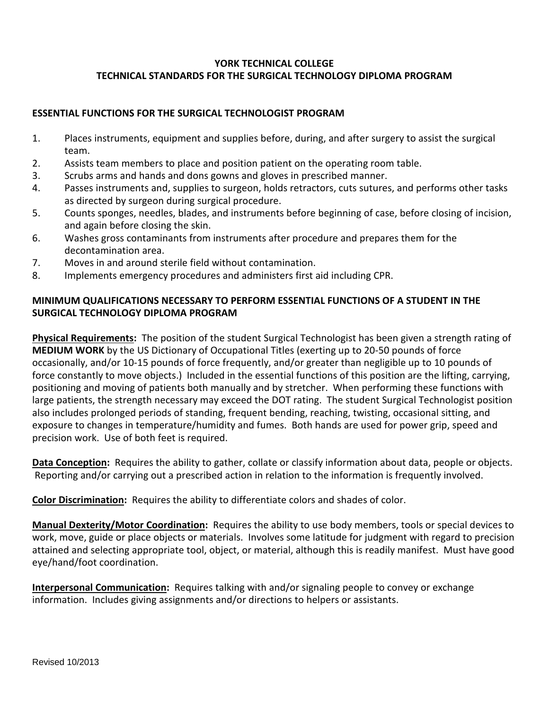## **YORK TECHNICAL COLLEGE TECHNICAL STANDARDS FOR THE SURGICAL TECHNOLOGY DIPLOMA PROGRAM**

## **ESSENTIAL FUNCTIONS FOR THE SURGICAL TECHNOLOGIST PROGRAM**

- 1. Places instruments, equipment and supplies before, during, and after surgery to assist the surgical team.
- 2. Assists team members to place and position patient on the operating room table.
- 3. Scrubs arms and hands and dons gowns and gloves in prescribed manner.
- 4. Passes instruments and, supplies to surgeon, holds retractors, cuts sutures, and performs other tasks as directed by surgeon during surgical procedure.
- 5. Counts sponges, needles, blades, and instruments before beginning of case, before closing of incision, and again before closing the skin.
- 6. Washes gross contaminants from instruments after procedure and prepares them for the decontamination area.
- 7. Moves in and around sterile field without contamination.
- 8. Implements emergency procedures and administers first aid including CPR.

## **MINIMUM QUALIFICATIONS NECESSARY TO PERFORM ESSENTIAL FUNCTIONS OF A STUDENT IN THE SURGICAL TECHNOLOGY DIPLOMA PROGRAM**

**Physical Requirements:** The position of the student Surgical Technologist has been given a strength rating of **MEDIUM WORK** by the US Dictionary of Occupational Titles (exerting up to 20-50 pounds of force occasionally, and/or 10-15 pounds of force frequently, and/or greater than negligible up to 10 pounds of force constantly to move objects.) Included in the essential functions of this position are the lifting, carrying, positioning and moving of patients both manually and by stretcher. When performing these functions with large patients, the strength necessary may exceed the DOT rating. The student Surgical Technologist position also includes prolonged periods of standing, frequent bending, reaching, twisting, occasional sitting, and exposure to changes in temperature/humidity and fumes. Both hands are used for power grip, speed and precision work. Use of both feet is required.

**Data Conception:** Requires the ability to gather, collate or classify information about data, people or objects. Reporting and/or carrying out a prescribed action in relation to the information is frequently involved.

**Color Discrimination:** Requires the ability to differentiate colors and shades of color.

**Manual Dexterity/Motor Coordination:** Requires the ability to use body members, tools or special devices to work, move, guide or place objects or materials. Involves some latitude for judgment with regard to precision attained and selecting appropriate tool, object, or material, although this is readily manifest. Must have good eye/hand/foot coordination.

**Interpersonal Communication:** Requires talking with and/or signaling people to convey or exchange information. Includes giving assignments and/or directions to helpers or assistants.